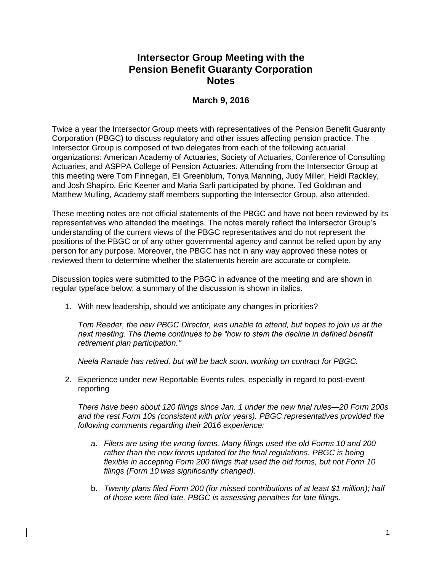## **Intersector Group Meeting with the Pension Benefit Guaranty Corporation Notes**

## **March 9, 2016**

Twice a year the Intersector Group meets with representatives of the Pension Benefit Guaranty Corporation (PBGC) to discuss regulatory and other issues affecting pension practice. The Intersector Group is composed of two delegates from each of the following actuarial organizations: American Academy of Actuaries, Society of Actuaries, Conference of Consulting Actuaries, and ASPPA College of Pension Actuaries. Attending from the Intersector Group at this meeting were Tom Finnegan, Eli Greenblum, Tonya Manning, Judy Miller, Heidi Rackley, and Josh Shapiro. Eric Keener and Maria Sarli participated by phone. Ted Goldman and Matthew Mulling, Academy staff members supporting the Intersector Group, also attended.

These meeting notes are not official statements of the PBGC and have not been reviewed by its representatives who attended the meetings. The notes merely reflect the Intersector Group's understanding of the current views of the PBGC representatives and do not represent the positions of the PBGC or of any other governmental agency and cannot be relied upon by any person for any purpose. Moreover, the PBGC has not in any way approved these notes or reviewed them to determine whether the statements herein are accurate or complete.

Discussion topics were submitted to the PBGC in advance of the meeting and are shown in regular typeface below; a summary of the discussion is shown in italics.

1. With new leadership, should we anticipate any changes in priorities?

*Tom Reeder, the new PBGC Director, was unable to attend, but hopes to join us at the next meeting. The theme continues to be "how to stem the decline in defined benefit retirement plan participation."* 

*Neela Ranade has retired, but will be back soon, working on contract for PBGC.*

2. Experience under new Reportable Events rules, especially in regard to post-event reporting

*There have been about 120 filings since Jan. 1 under the new final rules—20 Form 200s and the rest Form 10s (consistent with prior years). PBGC representatives provided the following comments regarding their 2016 experience:* 

- a. *Filers are using the wrong forms. Many filings used the old Forms 10 and 200 rather than the new forms updated for the final regulations. PBGC is being flexible in accepting Form 200 filings that used the old forms, but not Form 10 filings (Form 10 was significantly changed).*
- b. *Twenty plans filed Form 200 (for missed contributions of at least \$1 million); half of those were filed late. PBGC is assessing penalties for late filings.*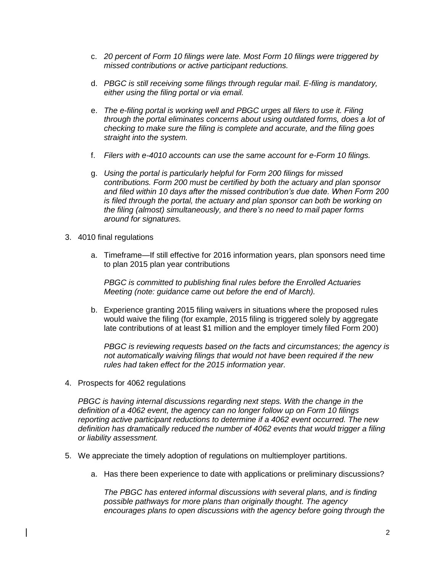- c. *20 percent of Form 10 filings were late. Most Form 10 filings were triggered by missed contributions or active participant reductions.*
- d. *PBGC is still receiving some filings through regular mail. E-filing is mandatory, either using the filing portal or via email.*
- e. *The e-filing portal is working well and PBGC urges all filers to use it. Filing through the portal eliminates concerns about using outdated forms, does a lot of checking to make sure the filing is complete and accurate, and the filing goes straight into the system.*
- f. *Filers with e-4010 accounts can use the same account for e-Form 10 filings.*
- g. *Using the portal is particularly helpful for Form 200 filings for missed contributions. Form 200 must be certified by both the actuary and plan sponsor and filed within 10 days after the missed contribution's due date. When Form 200 is filed through the portal, the actuary and plan sponsor can both be working on the filing (almost) simultaneously, and there's no need to mail paper forms around for signatures.*
- 3. 4010 final regulations
	- a. Timeframe—If still effective for 2016 information years, plan sponsors need time to plan 2015 plan year contributions

*PBGC is committed to publishing final rules before the Enrolled Actuaries Meeting (note: guidance came out before the end of March).*

b. Experience granting 2015 filing waivers in situations where the proposed rules would waive the filing (for example, 2015 filing is triggered solely by aggregate late contributions of at least \$1 million and the employer timely filed Form 200)

*PBGC is reviewing requests based on the facts and circumstances; the agency is not automatically waiving filings that would not have been required if the new rules had taken effect for the 2015 information year.*

4. Prospects for 4062 regulations

*PBGC is having internal discussions regarding next steps. With the change in the definition of a 4062 event, the agency can no longer follow up on Form 10 filings reporting active participant reductions to determine if a 4062 event occurred. The new definition has dramatically reduced the number of 4062 events that would trigger a filing or liability assessment.*

- 5. We appreciate the timely adoption of regulations on multiemployer partitions.
	- a. Has there been experience to date with applications or preliminary discussions?

*The PBGC has entered informal discussions with several plans, and is finding possible pathways for more plans than originally thought. The agency encourages plans to open discussions with the agency before going through the*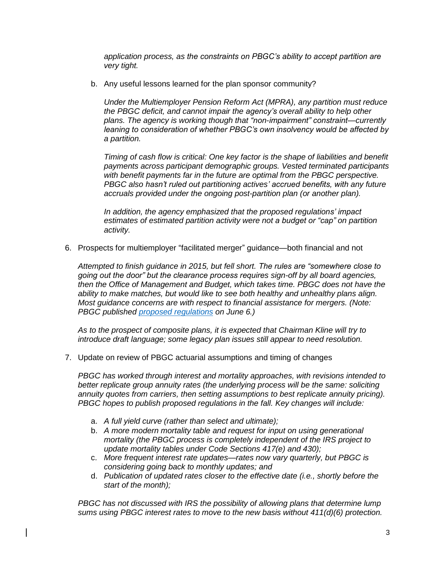*application process, as the constraints on PBGC's ability to accept partition are very tight.*

b. Any useful lessons learned for the plan sponsor community?

*Under the Multiemployer Pension Reform Act (MPRA), any partition must reduce the PBGC deficit, and cannot impair the agency's overall ability to help other plans. The agency is working though that "non-impairment" constraint—currently leaning to consideration of whether PBGC's own insolvency would be affected by a partition.* 

*Timing of cash flow is critical: One key factor is the shape of liabilities and benefit payments across participant demographic groups. Vested terminated participants with benefit payments far in the future are optimal from the PBGC perspective. PBGC also hasn't ruled out partitioning actives' accrued benefits, with any future accruals provided under the ongoing post-partition plan (or another plan).* 

*In addition, the agency emphasized that the proposed regulations' impact estimates of estimated partition activity were not a budget or "cap" on partition activity.*

6. Prospects for multiemployer "facilitated merger" guidance—both financial and not

*Attempted to finish guidance in 2015, but fell short. The rules are "somewhere close to going out the door" but the clearance process requires sign-off by all board agencies, then the Office of Management and Budget, which takes time. PBGC does not have the ability to make matches, but would like to see both healthy and unhealthy plans align. Most guidance concerns are with respect to financial assistance for mergers. (Note: PBGC published [proposed regulations](https://www.gpo.gov/fdsys/pkg/FR-2016-06-06/pdf/2016-13083.pdf) on June 6.)*

*As to the prospect of composite plans, it is expected that Chairman Kline will try to introduce draft language; some legacy plan issues still appear to need resolution.*

7. Update on review of PBGC actuarial assumptions and timing of changes

*PBGC has worked through interest and mortality approaches, with revisions intended to better replicate group annuity rates (the underlying process will be the same: soliciting annuity quotes from carriers, then setting assumptions to best replicate annuity pricing). PBGC hopes to publish proposed regulations in the fall. Key changes will include:*

- a. *A full yield curve (rather than select and ultimate);*
- b. *A more modern mortality table and request for input on using generational mortality (the PBGC process is completely independent of the IRS project to update mortality tables under Code Sections 417(e) and 430);*
- c. *More frequent interest rate updates—rates now vary quarterly, but PBGC is considering going back to monthly updates; and*
- d. *Publication of updated rates closer to the effective date (i.e., shortly before the start of the month);*

*PBGC has not discussed with IRS the possibility of allowing plans that determine lump sums using PBGC interest rates to move to the new basis without 411(d)(6) protection.*